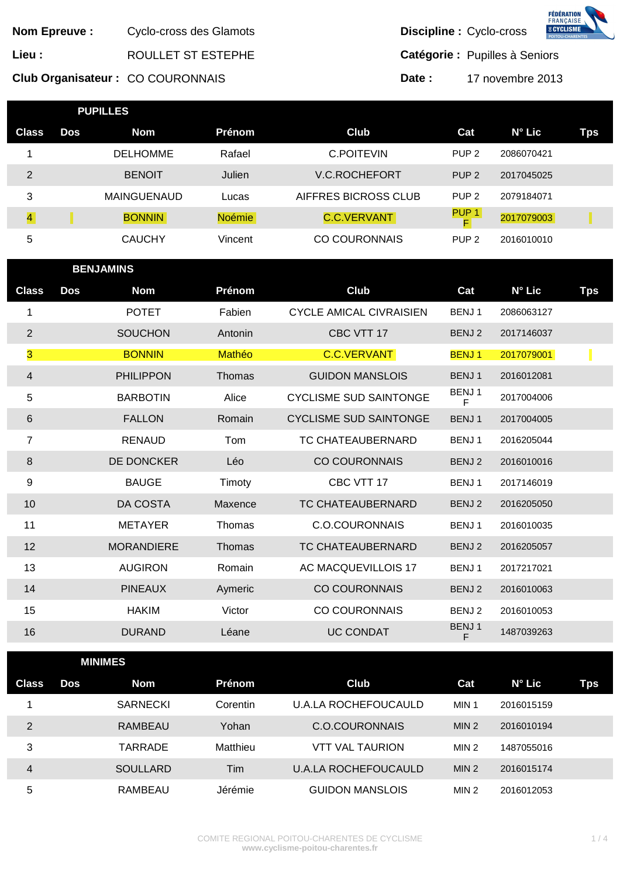|                |                     |                                  |               |                                |                          |                                      | <b>FÉDÉRATION</b><br>FRANÇAISE<br>% CYCLISME |
|----------------|---------------------|----------------------------------|---------------|--------------------------------|--------------------------|--------------------------------------|----------------------------------------------|
|                | <b>Nom Epreuve:</b> | Cyclo-cross des Glamots          |               |                                | Discipline : Cyclo-cross |                                      |                                              |
| Lieu :         |                     | ROULLET ST ESTEPHE               |               |                                |                          | Catégorie : Pupilles à Seniors       |                                              |
|                |                     | Club Organisateur: CO COURONNAIS |               |                                | Date:                    | 17 novembre 2013                     |                                              |
|                | <b>PUPILLES</b>     |                                  |               |                                |                          |                                      |                                              |
| <b>Class</b>   | <b>Dos</b>          | <b>Nom</b>                       | Prénom        | Club                           |                          | $N^{\circ}$ Lic<br>Cat               | <b>Tps</b>                                   |
| 1              |                     | <b>DELHOMME</b>                  | Rafael        | <b>C.POITEVIN</b>              |                          | PUP <sub>2</sub><br>2086070421       |                                              |
| $\overline{2}$ |                     | <b>BENOIT</b>                    | Julien        | <b>V.C.ROCHEFORT</b>           |                          | PUP <sub>2</sub><br>2017045025       |                                              |
| 3              |                     | <b>MAINGUENAUD</b>               | Lucas         | AIFFRES BICROSS CLUB           |                          | PUP <sub>2</sub><br>2079184071       |                                              |
| $\overline{4}$ |                     | <b>BONNIN</b>                    | <b>Noémie</b> | <b>C.C.VERVANT</b>             |                          | PUP <sub>1</sub><br>2017079003<br>F. |                                              |
| 5              |                     | <b>CAUCHY</b>                    | Vincent       | <b>CO COURONNAIS</b>           |                          | PUP <sub>2</sub><br>2016010010       |                                              |
|                | <b>BENJAMINS</b>    |                                  |               |                                |                          |                                      |                                              |
| <b>Class</b>   | <b>Dos</b>          | <b>Nom</b>                       | Prénom        | Club                           |                          | N° Lic<br>Cat                        | <b>Tps</b>                                   |
| 1              |                     | <b>POTET</b>                     | Fabien        | <b>CYCLE AMICAL CIVRAISIEN</b> |                          | BENJ1<br>2086063127                  |                                              |
| $\overline{2}$ |                     | <b>SOUCHON</b>                   | Antonin       | CBC VTT 17                     |                          | BENJ 2<br>2017146037                 |                                              |
| 3              |                     | <b>BONNIN</b>                    | Mathéo        | <b>C.C.VERVANT</b>             | <b>BENJ1</b>             | 2017079001                           |                                              |
| $\overline{4}$ |                     | <b>PHILIPPON</b>                 | Thomas        | <b>GUIDON MANSLOIS</b>         |                          | BENJ1<br>2016012081                  |                                              |
| 5              |                     | <b>BARBOTIN</b>                  | Alice         | <b>CYCLISME SUD SAINTONGE</b>  |                          | BENJ1<br>2017004006                  |                                              |
| 6              |                     | <b>FALLON</b>                    | Romain        | <b>CYCLISME SUD SAINTONGE</b>  | BENJ1                    | F<br>2017004005                      |                                              |
| $\overline{7}$ |                     | <b>RENAUD</b>                    | Tom           | TC CHATEAUBERNARD              |                          | BENJ1<br>2016205044                  |                                              |
| 8              |                     | DE DONCKER                       | Léo           | <b>CO COURONNAIS</b>           |                          | BENJ 2<br>2016010016                 |                                              |
| 9              |                     | <b>BAUGE</b>                     | Timoty        | CBC VTT 17                     | BENJ1                    | 2017146019                           |                                              |
| 10             |                     | DA COSTA                         | Maxence       | TC CHATEAUBERNARD              |                          | BENJ 2<br>2016205050                 |                                              |
| 11             |                     | <b>METAYER</b>                   | Thomas        | <b>C.O.COURONNAIS</b>          |                          | BENJ1<br>2016010035                  |                                              |
| 12             |                     | <b>MORANDIERE</b>                | Thomas        | TC CHATEAUBERNARD              |                          | BENJ 2<br>2016205057                 |                                              |
| 13             |                     | <b>AUGIRON</b>                   | Romain        | <b>AC MACQUEVILLOIS 17</b>     |                          | BENJ1<br>2017217021                  |                                              |
| 14             |                     | <b>PINEAUX</b>                   | Aymeric       | <b>CO COURONNAIS</b>           |                          | BENJ 2<br>2016010063                 |                                              |
| 15             |                     | <b>HAKIM</b>                     | Victor        | <b>CO COURONNAIS</b>           |                          | BENJ 2<br>2016010053                 |                                              |
| 16             |                     | <b>DURAND</b>                    | Léane         | <b>UC CONDAT</b>               |                          | BENJ1<br>1487039263<br>F             |                                              |
|                | <b>MINIMES</b>      |                                  |               |                                |                          |                                      |                                              |
| <b>Class</b>   | <b>Dos</b>          | <b>Nom</b>                       | Prénom        | <b>Club</b>                    |                          | N° Lic<br>Cat                        | <b>Tps</b>                                   |
| 1              |                     | <b>SARNECKI</b>                  | Corentin      | <b>U.A.LA ROCHEFOUCAULD</b>    | MIN 1                    | 2016015159                           |                                              |
| $\overline{2}$ |                     | RAMBEAU                          | Yohan         | <b>C.O.COURONNAIS</b>          |                          | MIN <sub>2</sub><br>2016010194       |                                              |
| $\mathfrak{S}$ |                     | <b>TARRADE</b>                   | Matthieu      | <b>VTT VAL TAURION</b>         |                          | MIN <sub>2</sub><br>1487055016       |                                              |
| $\overline{4}$ |                     | <b>SOULLARD</b>                  | Tim           | <b>U.A.LA ROCHEFOUCAULD</b>    |                          | MIN <sub>2</sub><br>2016015174       |                                              |
| 5              |                     | RAMBEAU                          | Jérémie       | <b>GUIDON MANSLOIS</b>         |                          | MIN <sub>2</sub><br>2016012053       |                                              |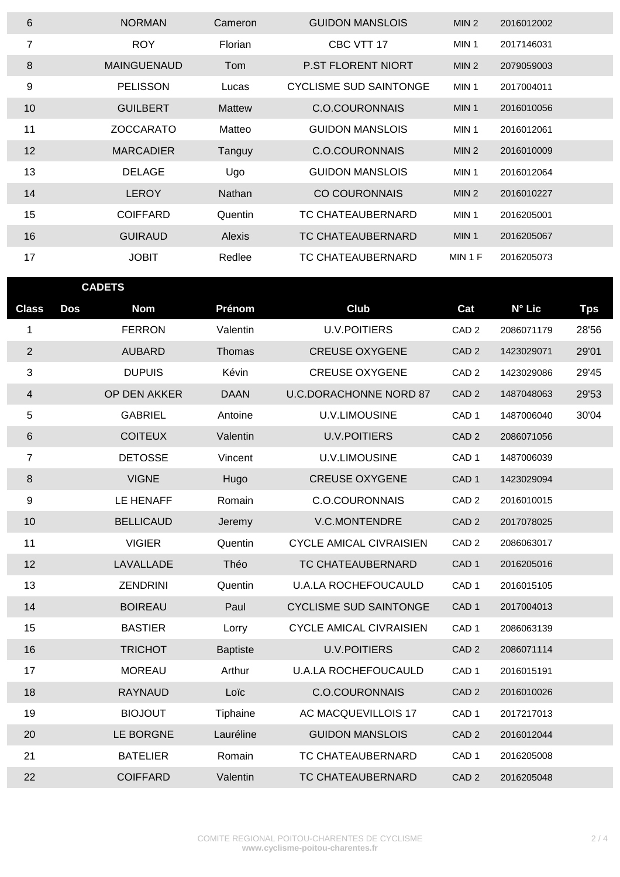| 6              | <b>NORMAN</b>      | Cameron       | <b>GUIDON MANSLOIS</b>    | MIN <sub>2</sub> | 2016012002 |
|----------------|--------------------|---------------|---------------------------|------------------|------------|
| $\overline{7}$ | <b>ROY</b>         | Florian       | CBC VTT 17                | MIN <sub>1</sub> | 2017146031 |
| 8              | <b>MAINGUENAUD</b> | Tom           | <b>P.ST FLORENT NIORT</b> | MIN <sub>2</sub> | 2079059003 |
| 9              | <b>PELISSON</b>    | Lucas         | CYCLISME SUD SAINTONGE    | MIN <sub>1</sub> | 2017004011 |
| 10             | <b>GUILBERT</b>    | <b>Mattew</b> | C.O.COURONNAIS            | MIN <sub>1</sub> | 2016010056 |
| 11             | <b>ZOCCARATO</b>   | Matteo        | GUIDON MANSLOIS           | MIN <sub>1</sub> | 2016012061 |
| 12             | <b>MARCADIER</b>   | Tanguy        | C.O.COURONNAIS            | MIN <sub>2</sub> | 2016010009 |
| 13             | <b>DELAGE</b>      | Ugo           | GUIDON MANSLOIS           | MIN <sub>1</sub> | 2016012064 |
| 14             | <b>LEROY</b>       | <b>Nathan</b> | <b>CO COURONNAIS</b>      | MIN <sub>2</sub> | 2016010227 |
| 15             | <b>COIFFARD</b>    | Quentin       | TC CHATEAUBERNARD         | MIN <sub>1</sub> | 2016205001 |
| 16             | <b>GUIRAUD</b>     | <b>Alexis</b> | TC CHATEAUBERNARD         | MIN <sub>1</sub> | 2016205067 |
| 17             | JOBIT              | Redlee        | TC CHATEAUBERNARD         | MIN 1 F          | 2016205073 |

| <b>CADETS</b>           |                          |                 |                                |                  |            |            |
|-------------------------|--------------------------|-----------------|--------------------------------|------------------|------------|------------|
| <b>Class</b>            | <b>Dos</b><br><b>Nom</b> | Prénom          | <b>Club</b>                    | Cat              | N° Lic     | <b>Tps</b> |
| $\mathbf{1}$            | <b>FERRON</b>            | Valentin        | <b>U.V.POITIERS</b>            | CAD <sub>2</sub> | 2086071179 | 28'56      |
| $\overline{2}$          | <b>AUBARD</b>            | Thomas          | <b>CREUSE OXYGENE</b>          | CAD <sub>2</sub> | 1423029071 | 29'01      |
| 3                       | <b>DUPUIS</b>            | Kévin           | <b>CREUSE OXYGENE</b>          | CAD <sub>2</sub> | 1423029086 | 29'45      |
| $\overline{\mathbf{4}}$ | OP DEN AKKER             | <b>DAAN</b>     | <b>U.C.DORACHONNE NORD 87</b>  | CAD <sub>2</sub> | 1487048063 | 29'53      |
| 5                       | <b>GABRIEL</b>           | Antoine         | U.V.LIMOUSINE                  | CAD <sub>1</sub> | 1487006040 | 30'04      |
| 6                       | <b>COITEUX</b>           | Valentin        | <b>U.V.POITIERS</b>            | CAD <sub>2</sub> | 2086071056 |            |
| $\overline{7}$          | <b>DETOSSE</b>           | Vincent         | U.V.LIMOUSINE                  | CAD <sub>1</sub> | 1487006039 |            |
| $\,8\,$                 | <b>VIGNE</b>             | Hugo            | <b>CREUSE OXYGENE</b>          | CAD <sub>1</sub> | 1423029094 |            |
| 9                       | LE HENAFF                | Romain          | <b>C.O.COURONNAIS</b>          | CAD <sub>2</sub> | 2016010015 |            |
| 10                      | <b>BELLICAUD</b>         | Jeremy          | V.C.MONTENDRE                  | CAD <sub>2</sub> | 2017078025 |            |
| 11                      | <b>VIGIER</b>            | Quentin         | <b>CYCLE AMICAL CIVRAISIEN</b> | CAD <sub>2</sub> | 2086063017 |            |
| 12                      | LAVALLADE                | Théo            | TC CHATEAUBERNARD              | CAD <sub>1</sub> | 2016205016 |            |
| 13                      | <b>ZENDRINI</b>          | Quentin         | <b>U.A.LA ROCHEFOUCAULD</b>    | CAD <sub>1</sub> | 2016015105 |            |
| 14                      | <b>BOIREAU</b>           | Paul            | <b>CYCLISME SUD SAINTONGE</b>  | CAD <sub>1</sub> | 2017004013 |            |
| 15                      | <b>BASTIER</b>           | Lorry           | <b>CYCLE AMICAL CIVRAISIEN</b> | CAD <sub>1</sub> | 2086063139 |            |
| 16                      | <b>TRICHOT</b>           | <b>Baptiste</b> | <b>U.V.POITIERS</b>            | CAD <sub>2</sub> | 2086071114 |            |
| 17                      | <b>MOREAU</b>            | Arthur          | <b>U.A.LA ROCHEFOUCAULD</b>    | CAD <sub>1</sub> | 2016015191 |            |
| 18                      | <b>RAYNAUD</b>           | Loïc            | <b>C.O.COURONNAIS</b>          | CAD <sub>2</sub> | 2016010026 |            |
| 19                      | <b>BIOJOUT</b>           | Tiphaine        | AC MACQUEVILLOIS 17            | CAD <sub>1</sub> | 2017217013 |            |
| 20                      | LE BORGNE                | Lauréline       | <b>GUIDON MANSLOIS</b>         | CAD <sub>2</sub> | 2016012044 |            |
| 21                      | <b>BATELIER</b>          | Romain          | TC CHATEAUBERNARD              | CAD <sub>1</sub> | 2016205008 |            |
| 22                      | <b>COIFFARD</b>          | Valentin        | TC CHATEAUBERNARD              | CAD <sub>2</sub> | 2016205048 |            |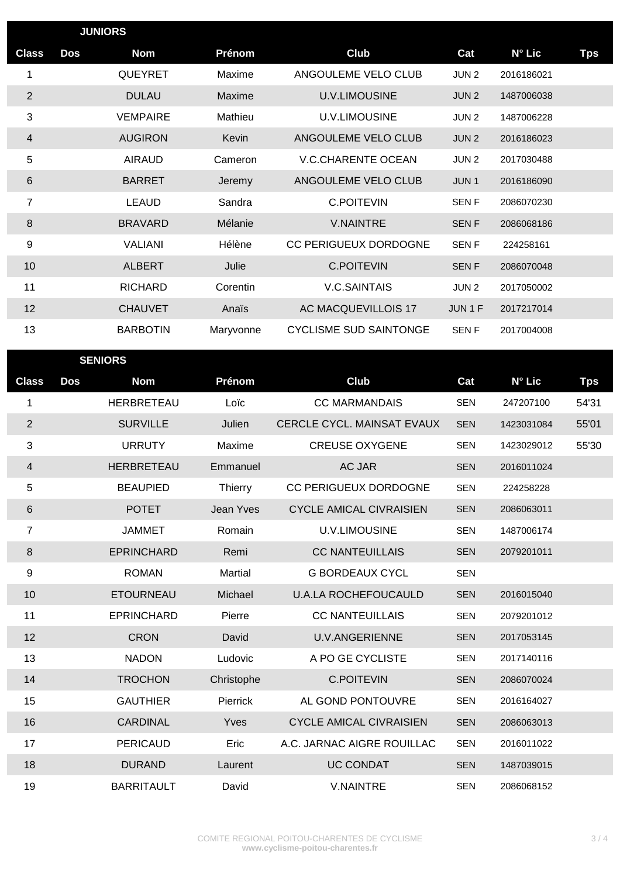| <b>JUNIORS</b> |            |                 |           |                               |                  |                 |            |
|----------------|------------|-----------------|-----------|-------------------------------|------------------|-----------------|------------|
| <b>Class</b>   | <b>Dos</b> | <b>Nom</b>      | Prénom    | Club                          | Cat              | N° Lic          | <b>Tps</b> |
| 1              |            | QUEYRET         | Maxime    | ANGOULEME VELO CLUB           | JUN <sub>2</sub> | 2016186021      |            |
| $\overline{2}$ |            | <b>DULAU</b>    | Maxime    | <b>U.V.LIMOUSINE</b>          | JUN <sub>2</sub> | 1487006038      |            |
| 3              |            | <b>VEMPAIRE</b> | Mathieu   | <b>U.V.LIMOUSINE</b>          | JUN <sub>2</sub> | 1487006228      |            |
| 4              |            | <b>AUGIRON</b>  | Kevin     | ANGOULEME VELO CLUB           | JUN <sub>2</sub> | 2016186023      |            |
| 5              |            | <b>AIRAUD</b>   | Cameron   | <b>V.C.CHARENTE OCEAN</b>     | JUN <sub>2</sub> | 2017030488      |            |
| 6              |            | <b>BARRET</b>   | Jeremy    | ANGOULEME VELO CLUB           | JUN <sub>1</sub> | 2016186090      |            |
| 7              |            | <b>LEAUD</b>    | Sandra    | <b>C.POITEVIN</b>             | <b>SENF</b>      | 2086070230      |            |
| 8              |            | <b>BRAVARD</b>  | Mélanie   | <b>V.NAINTRE</b>              | <b>SENF</b>      | 2086068186      |            |
| 9              |            | <b>VALIANI</b>  | Hélène    | CC PERIGUEUX DORDOGNE         | <b>SENF</b>      | 224258161       |            |
| 10             |            | <b>ALBERT</b>   | Julie     | <b>C.POITEVIN</b>             | <b>SENF</b>      | 2086070048      |            |
| 11             |            | <b>RICHARD</b>  | Corentin  | <b>V.C.SAINTAIS</b>           | JUN <sub>2</sub> | 2017050002      |            |
| 12             |            | <b>CHAUVET</b>  | Anaïs     | AC MACQUEVILLOIS 17           | JUN 1 F          | 2017217014      |            |
| 13             |            | <b>BARBOTIN</b> | Maryvonne | <b>CYCLISME SUD SAINTONGE</b> | <b>SENF</b>      | 2017004008      |            |
|                |            | <b>SENIORS</b>  |           |                               |                  |                 |            |
| <b>Class</b>   | <b>Dos</b> | <b>Nom</b>      | Prénom    | Club                          | Cat              | $N^{\circ}$ Lic | <b>Tps</b> |

| <b>Class</b>   | Dos | Nom               | Prénom         | Club                              | Cat        | $N^{\circ}$ Lic | Tps   |
|----------------|-----|-------------------|----------------|-----------------------------------|------------|-----------------|-------|
| 1              |     | HERBRETEAU        | Loïc           | <b>CC MARMANDAIS</b>              | <b>SEN</b> | 247207100       | 54'31 |
| $\overline{2}$ |     | <b>SURVILLE</b>   | Julien         | <b>CERCLE CYCL, MAINSAT EVAUX</b> | <b>SEN</b> | 1423031084      | 55'01 |
| 3              |     | <b>URRUTY</b>     | Maxime         | <b>CREUSE OXYGENE</b>             | <b>SEN</b> | 1423029012      | 55'30 |
| 4              |     | HERBRETEAU        | Emmanuel       | <b>AC JAR</b>                     | <b>SEN</b> | 2016011024      |       |
| 5              |     | <b>BEAUPIED</b>   | Thierry        | CC PERIGUEUX DORDOGNE             | <b>SEN</b> | 224258228       |       |
| 6              |     | <b>POTET</b>      | Jean Yves      | <b>CYCLE AMICAL CIVRAISIEN</b>    | <b>SEN</b> | 2086063011      |       |
| 7              |     | <b>JAMMET</b>     | Romain         | <b>U.V.LIMOUSINE</b>              | <b>SEN</b> | 1487006174      |       |
| 8              |     | <b>EPRINCHARD</b> | Remi           | <b>CC NANTEUILLAIS</b>            | <b>SEN</b> | 2079201011      |       |
| 9              |     | <b>ROMAN</b>      | <b>Martial</b> | <b>G BORDEAUX CYCL</b>            | <b>SEN</b> |                 |       |
| 10             |     | <b>ETOURNEAU</b>  | Michael        | <b>U.A.LA ROCHEFOUCAULD</b>       | <b>SEN</b> | 2016015040      |       |
| 11             |     | <b>EPRINCHARD</b> | Pierre         | <b>CC NANTEUILLAIS</b>            | <b>SEN</b> | 2079201012      |       |
| 12             |     | <b>CRON</b>       | David          | <b>U.V.ANGERIENNE</b>             | <b>SEN</b> | 2017053145      |       |
| 13             |     | <b>NADON</b>      | Ludovic        | A PO GE CYCLISTE                  | <b>SEN</b> | 2017140116      |       |
| 14             |     | <b>TROCHON</b>    | Christophe     | <b>C.POITEVIN</b>                 | <b>SEN</b> | 2086070024      |       |
| 15             |     | <b>GAUTHIER</b>   | Pierrick       | AL GOND PONTOUVRE                 | <b>SEN</b> | 2016164027      |       |
| 16             |     | <b>CARDINAL</b>   | Yves           | <b>CYCLE AMICAL CIVRAISIEN</b>    | <b>SEN</b> | 2086063013      |       |
| 17             |     | <b>PERICAUD</b>   | Eric           | A.C. JARNAC AIGRE ROUILLAC        | <b>SEN</b> | 2016011022      |       |
| 18             |     | <b>DURAND</b>     | Laurent        | <b>UC CONDAT</b>                  | <b>SEN</b> | 1487039015      |       |
| 19             |     | <b>BARRITAULT</b> | David          | <b>V.NAINTRE</b>                  | <b>SEN</b> | 2086068152      |       |

f,